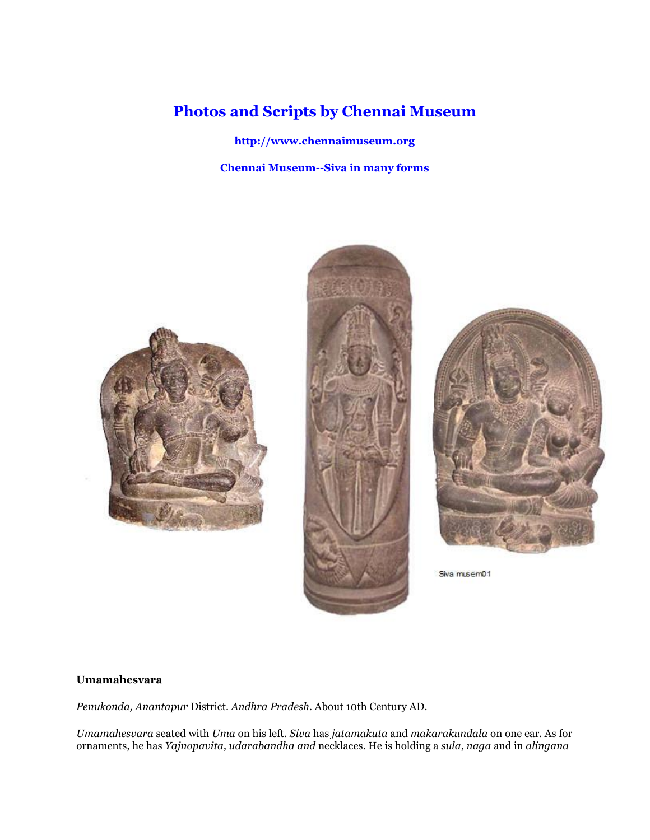# **Photos and Scripts by Chennai Museum**

**http://www.chennaimuseum.org**

**Chennai Museum--Siva in many forms**







Siva musem01

# **Umamahesvara**

*Penukonda, Anantapur* District. *Andhra Pradesh*. About 10th Century AD.

*Umamahesvara* seated with *Uma* on his left. *Siva* has *jatamakuta* and *makarakundala* on one ear. As for ornaments, he has *Yajnopavita, udarabandha and* necklaces. He is holding a *sula*, *naga* and in *alingana*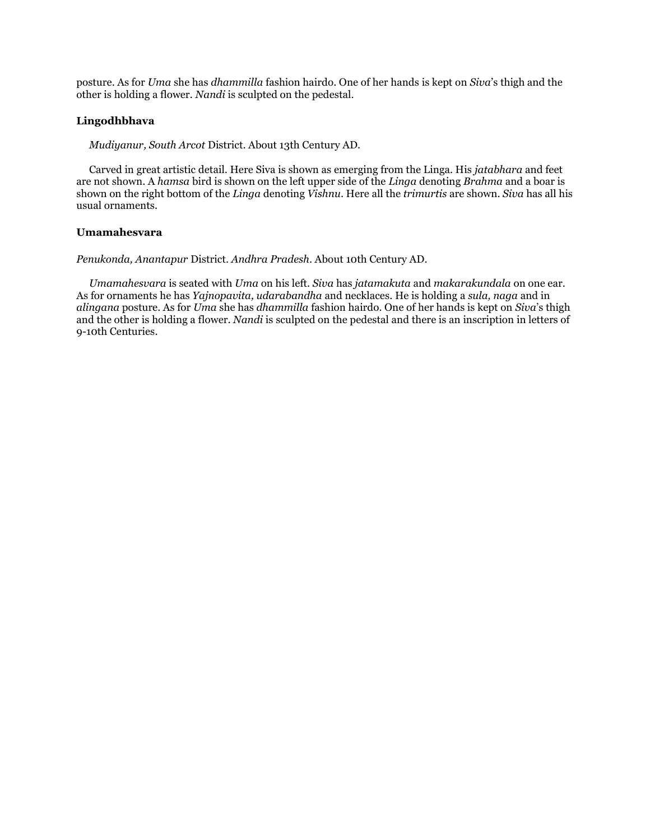posture. As for *Uma* she has *dhammilla* fashion hairdo. One of her hands is kept on *Siva*'s thigh and the other is holding a flower. *Nandi* is sculpted on the pedestal.

#### **Lingodhbhava**

*Mudiyanur, South Arcot* District. About 13th Century AD.

 Carved in great artistic detail. Here Siva is shown as emerging from the Linga. His *jatabhara* and feet are not shown. A *hamsa* bird is shown on the left upper side of the *Linga* denoting *Brahma* and a boar is shown on the right bottom of the *Linga* denoting *Vishnu*. Here all the *trimurtis* are shown. *Siva* has all his usual ornaments.

# **Umamahesvara**

*Penukonda, Anantapur* District. *Andhra Pradesh*. About 10th Century AD.

 *Umamahesvara* is seated with *Uma* on his left. *Siva* has *jatamakuta* and *makarakundala* on one ear. As for ornaments he has *Yajnopavita, udarabandha* and necklaces. He is holding a *sula, naga* and in *alingana* posture. As for *Uma* she has *dhammilla* fashion hairdo. One of her hands is kept on *Siva*'s thigh and the other is holding a flower. *Nandi* is sculpted on the pedestal and there is an inscription in letters of 9-10th Centuries.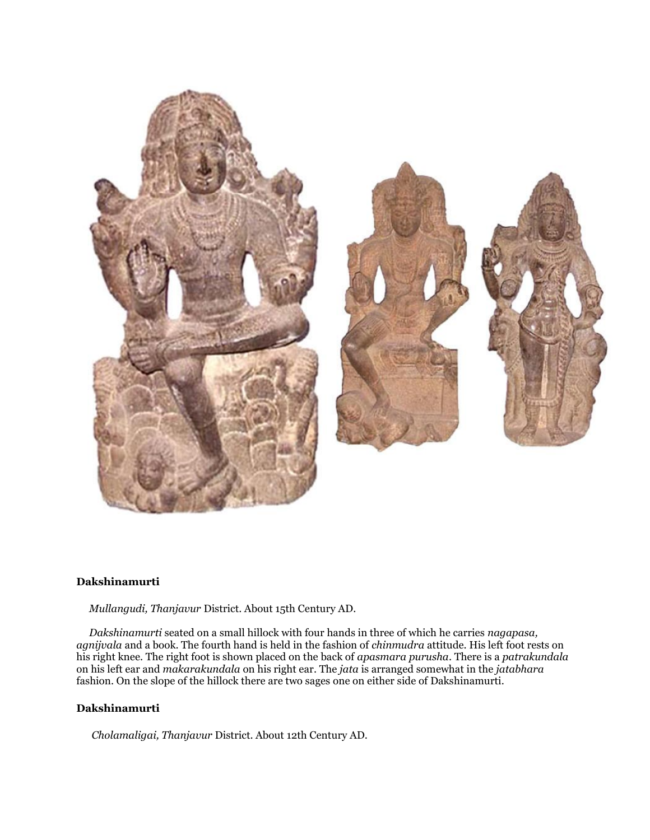

# **Dakshinamurti**

*Mullangudi, Thanjavur* District. About 15th Century AD.

 *Dakshinamurti* seated on a small hillock with four hands in three of which he carries *nagapasa, agnijvala* and a book. The fourth hand is held in the fashion of *chinmudra* attitude. His left foot rests on his right knee. The right foot is shown placed on the back of *apasmara purusha*. There is a *patrakundala* on his left ear and *makarakundala* on his right ear. The *jata* is arranged somewhat in the *jatabhara* fashion. On the slope of the hillock there are two sages one on either side of Dakshinamurti.

# **Dakshinamurti**

*Cholamaligai, Thanjavur* District. About 12th Century AD.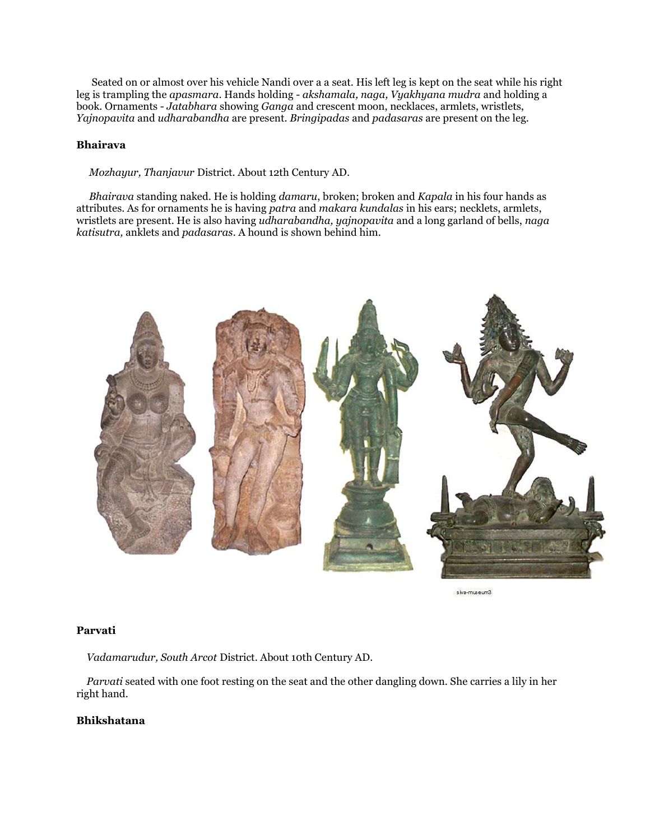Seated on or almost over his vehicle Nandi over a a seat. His left leg is kept on the seat while his right leg is trampling the *apasmara*. Hands holding - *akshamala, naga, Vyakhyana mudra* and holding a book. Ornaments - *Jatabhara* showing *Ganga* and crescent moon, necklaces, armlets, wristlets, *Yajnopavita* and *udharabandha* are present. *Bringipadas* and *padasaras* are present on the leg.

# **Bhairava**

*Mozhayur, Thanjavur* District. About 12th Century AD.

 *Bhairava* standing naked. He is holding *damaru*, broken; broken and *Kapala* in his four hands as attributes. As for ornaments he is having *patra* and *makara kundalas* in his ears; necklets, armlets, wristlets are present. He is also having *udharabandha, yajnopavita* and a long garland of bells, *naga katisutra,* anklets and *padasaras*. A hound is shown behind him.



siva-museum3

# **Parvati**

*Vadamarudur, South Arcot* District. About 10th Century AD.

 *Parvati* seated with one foot resting on the seat and the other dangling down. She carries a lily in her right hand.

#### **Bhikshatana**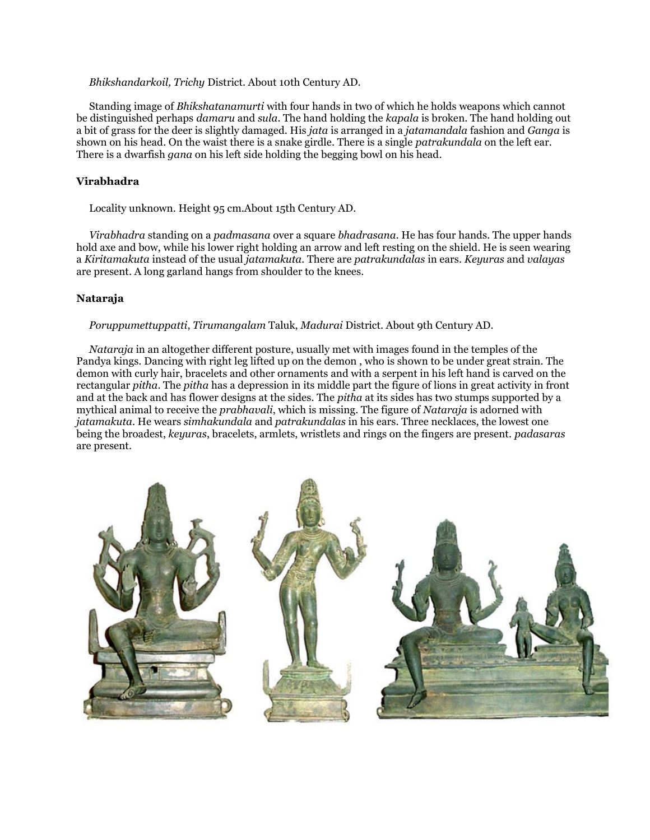#### *Bhikshandarkoil, Trichy* District. About 10th Century AD.

 Standing image of *Bhikshatanamurti* with four hands in two of which he holds weapons which cannot be distinguished perhaps *damaru* and *sula*. The hand holding the *kapala* is broken. The hand holding out a bit of grass for the deer is slightly damaged. His *jata* is arranged in a *jatamandala* fashion and *Ganga* is shown on his head. On the waist there is a snake girdle. There is a single *patrakundala* on the left ear. There is a dwarfish *gana* on his left side holding the begging bowl on his head.

# **Virabhadra**

Locality unknown. Height 95 cm.About 15th Century AD.

 *Virabhadra* standing on a *padmasana* over a square *bhadrasana.* He has four hands. The upper hands hold axe and bow, while his lower right holding an arrow and left resting on the shield. He is seen wearing a *Kiritamakuta* instead of the usual *jatamakuta.* There are *patrakundalas* in ears. *Keyuras* and *valayas* are present. A long garland hangs from shoulder to the knees.

## **Nataraja**

*Poruppumettuppatti*, *Tirumangalam* Taluk, *Madurai* District. About 9th Century AD.

 *Nataraja* in an altogether different posture, usually met with images found in the temples of the Pandya kings. Dancing with right leg lifted up on the demon , who is shown to be under great strain. The demon with curly hair, bracelets and other ornaments and with a serpent in his left hand is carved on the rectangular *pitha*. The *pitha* has a depression in its middle part the figure of lions in great activity in front and at the back and has flower designs at the sides. The *pitha* at its sides has two stumps supported by a mythical animal to receive the *prabhavali*, which is missing. The figure of *Nataraja* is adorned with *jatamakuta*. He wears *simhakundala* and *patrakundalas* in his ears. Three necklaces, the lowest one being the broadest, *keyuras*, bracelets, armlets, wristlets and rings on the fingers are present. *padasaras* are present.

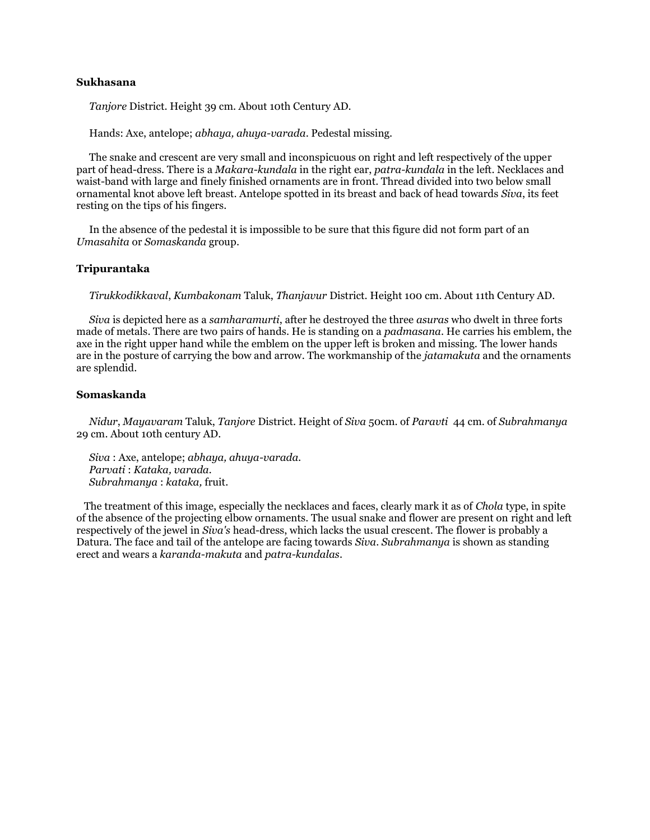# **Sukhasana**

*Tanjore* District. Height 39 cm. About 10th Century AD.

Hands: Axe, antelope; *abhaya, ahuya-varada*. Pedestal missing.

 The snake and crescent are very small and inconspicuous on right and left respectively of the upper part of head-dress. There is a *Makara-kundala* in the right ear, *patra-kundala* in the left. Necklaces and waist-band with large and finely finished ornaments are in front. Thread divided into two below small ornamental knot above left breast. Antelope spotted in its breast and back of head towards *Siva*, its feet resting on the tips of his fingers.

 In the absence of the pedestal it is impossible to be sure that this figure did not form part of an *Umasahita* or *Somaskanda* group.

# **Tripurantaka**

*Tirukkodikkaval*, *Kumbakonam* Taluk, *Thanjavur* District. Height 100 cm. About 11th Century AD.

 *Siva* is depicted here as a *samharamurti*, after he destroyed the three *asuras* who dwelt in three forts made of metals. There are two pairs of hands. He is standing on a *padmasana*. He carries his emblem, the axe in the right upper hand while the emblem on the upper left is broken and missing. The lower hands are in the posture of carrying the bow and arrow. The workmanship of the *jatamakuta* and the ornaments are splendid.

#### **Somaskanda**

 *Nidur*, *Mayavaram* Taluk, *Tanjore* District. Height of *Siva* 50cm. of *Paravti* 44 cm. of *Subrahmanya* 29 cm. About 10th century AD.

 *Siva* : Axe, antelope; *abhaya, ahuya-varada. Parvati* : *Kataka, varada. Subrahmanya* : *kataka,* fruit.

 The treatment of this image, especially the necklaces and faces, clearly mark it as of *Chola* type, in spite of the absence of the projecting elbow ornaments. The usual snake and flower are present on right and left respectively of the jewel in *Siva's* head-dress, which lacks the usual crescent. The flower is probably a Datura. The face and tail of the antelope are facing towards *Siva*. *Subrahmanya* is shown as standing erect and wears a *karanda-makuta* and *patra-kundalas*.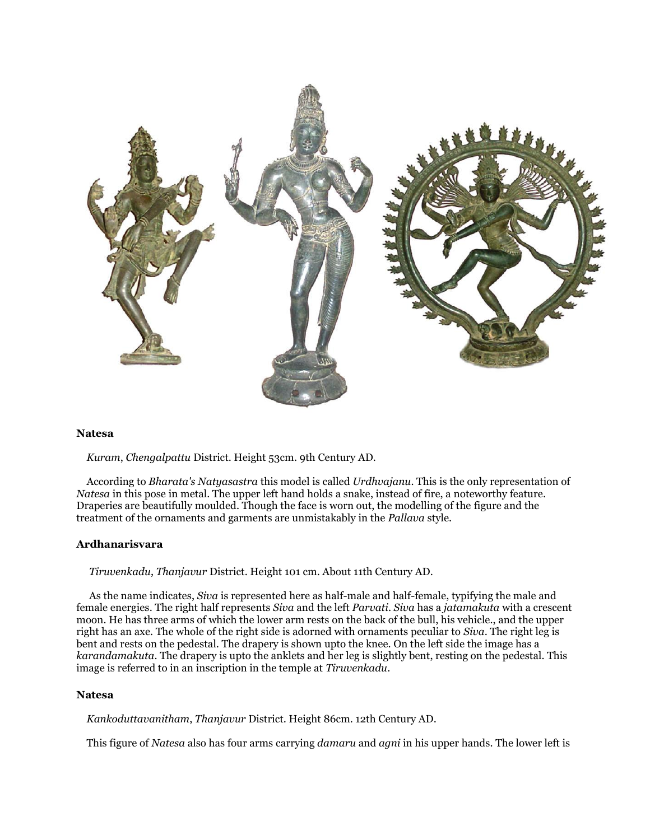

#### **Natesa**

*Kuram*, *Chengalpattu* District. Height 53cm. 9th Century AD.

 According to *Bharata's Natyasastra* this model is called *Urdhvajanu*. This is the only representation of *Natesa* in this pose in metal. The upper left hand holds a snake, instead of fire, a noteworthy feature. Draperies are beautifully moulded. Though the face is worn out, the modelling of the figure and the treatment of the ornaments and garments are unmistakably in the *Pallava* style.

#### **Ardhanarisvara**

*Tiruvenkadu*, *Thanjavur* District. Height 101 cm. About 11th Century AD.

 As the name indicates, *Siva* is represented here as half-male and half-female, typifying the male and female energies. The right half represents *Siva* and the left *Parvati*. *Siva* has a *jatamakuta* with a crescent moon. He has three arms of which the lower arm rests on the back of the bull, his vehicle., and the upper right has an axe. The whole of the right side is adorned with ornaments peculiar to *Siva*. The right leg is bent and rests on the pedestal. The drapery is shown upto the knee. On the left side the image has a *karandamakuta*. The drapery is upto the anklets and her leg is slightly bent, resting on the pedestal. This image is referred to in an inscription in the temple at *Tiruvenkadu*.

#### **Natesa**

*Kankoduttavanitham*, *Thanjavur* District. Height 86cm. 12th Century AD.

This figure of *Natesa* also has four arms carrying *damaru* and *agni* in his upper hands. The lower left is